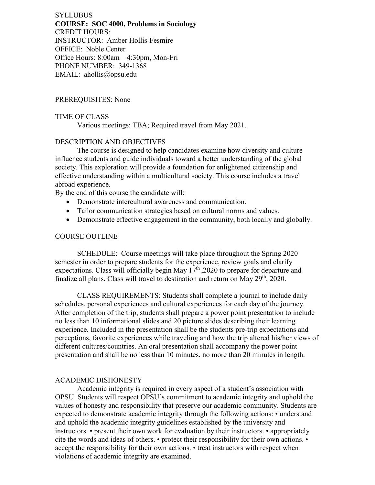**SYLLUBUS COURSE: SOC 4000, Problems in Sociology** CREDIT HOURS: INSTRUCTOR: Amber Hollis-Fesmire OFFICE: Noble Center Office Hours: 8:00am – 4:30pm, Mon-Fri PHONE NUMBER: 349-1368 EMAIL: ahollis@opsu.edu

### PREREQUISITES: None

#### TIME OF CLASS

Various meetings: TBA; Required travel from May 2021.

### DESCRIPTION AND OBJECTIVES

The course is designed to help candidates examine how diversity and culture influence students and guide individuals toward a better understanding of the global society. This exploration will provide a foundation for enlightened citizenship and effective understanding within a multicultural society. This course includes a travel abroad experience.

By the end of this course the candidate will:

- Demonstrate intercultural awareness and communication.
- Tailor communication strategies based on cultural norms and values.
- Demonstrate effective engagement in the community, both locally and globally.

### COURSE OUTLINE

SCHEDULE: Course meetings will take place throughout the Spring 2020 semester in order to prepare students for the experience, review goals and clarify expectations. Class will officially begin May  $17<sup>th</sup>$ , 2020 to prepare for departure and finalize all plans. Class will travel to destination and return on May  $29<sup>th</sup>$ , 2020.

CLASS REQUIREMENTS: Students shall complete a journal to include daily schedules, personal experiences and cultural experiences for each day of the journey. After completion of the trip, students shall prepare a power point presentation to include no less than 10 informational slides and 20 picture slides describing their learning experience. Included in the presentation shall be the students pre-trip expectations and perceptions, favorite experiences while traveling and how the trip altered his/her views of different cultures/countries. An oral presentation shall accompany the power point presentation and shall be no less than 10 minutes, no more than 20 minutes in length.

### ACADEMIC DISHONESTY

Academic integrity is required in every aspect of a student's association with OPSU. Students will respect OPSU's commitment to academic integrity and uphold the values of honesty and responsibility that preserve our academic community. Students are expected to demonstrate academic integrity through the following actions: • understand and uphold the academic integrity guidelines established by the university and instructors. • present their own work for evaluation by their instructors. • appropriately cite the words and ideas of others. • protect their responsibility for their own actions. • accept the responsibility for their own actions. • treat instructors with respect when violations of academic integrity are examined.